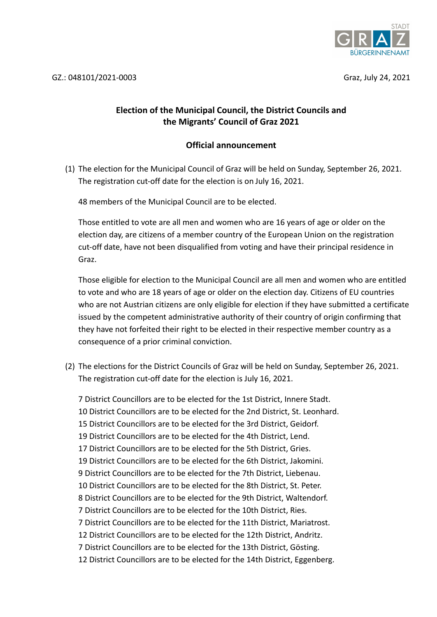

## **Election of the Municipal Council, the District Councils and the Migrants' Council of Graz 2021**

## **Official announcement**

(1) The election for the Municipal Council of Graz will be held on Sunday, September 26, 2021. The registration cut-off date for the election is on July 16, 2021.

48 members of the Municipal Council are to be elected.

Those entitled to vote are all men and women who are 16 years of age or older on the election day, are citizens of a member country of the European Union on the registration cut-off date, have not been disqualified from voting and have their principal residence in Graz.

Those eligible for election to the Municipal Council are all men and women who are entitled to vote and who are 18 years of age or older on the election day. Citizens of EU countries who are not Austrian citizens are only eligible for election if they have submitted a certificate issued by the competent administrative authority of their country of origin confirming that they have not forfeited their right to be elected in their respective member country as a consequence of a prior criminal conviction.

(2) The elections for the District Councils of Graz will be held on Sunday, September 26, 2021. The registration cut-off date for the election is July 16, 2021.

7 District Councillors are to be elected for the 1st District, Innere Stadt. 10 District Councillors are to be elected for the 2nd District, St. Leonhard. 15 District Councillors are to be elected for the 3rd District, Geidorf. 19 District Councillors are to be elected for the 4th District, Lend. 17 District Councillors are to be elected for the 5th District, Gries. 19 District Councillors are to be elected for the 6th District, Jakomini. 9 District Councillors are to be elected for the 7th District, Liebenau. 10 District Councillors are to be elected for the 8th District, St. Peter. 8 District Councillors are to be elected for the 9th District, Waltendorf. 7 District Councillors are to be elected for the 10th District, Ries. 7 District Councillors are to be elected for the 11th District, Mariatrost. 12 District Councillors are to be elected for the 12th District, Andritz. 7 District Councillors are to be elected for the 13th District, Gösting. 12 District Councillors are to be elected for the 14th District, Eggenberg.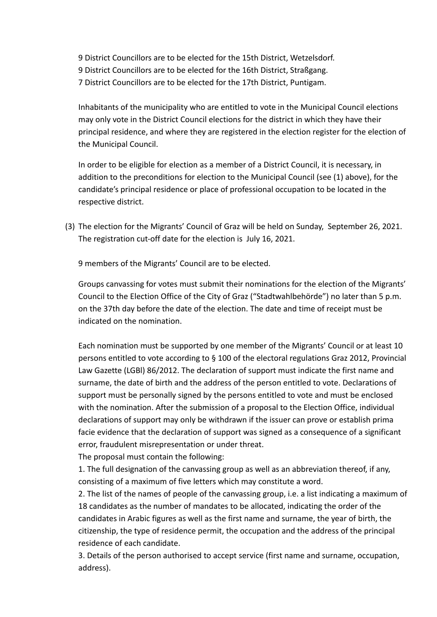9 District Councillors are to be elected for the 15th District, Wetzelsdorf. 9 District Councillors are to be elected for the 16th District, Straßgang.

7 District Councillors are to be elected for the 17th District, Puntigam.

Inhabitants of the municipality who are entitled to vote in the Municipal Council elections may only vote in the District Council elections for the district in which they have their principal residence, and where they are registered in the election register for the election of the Municipal Council.

In order to be eligible for election as a member of a District Council, it is necessary, in addition to the preconditions for election to the Municipal Council (see (1) above), for the candidate's principal residence or place of professional occupation to be located in the respective district.

(3) The election for the Migrants' Council of Graz will be held on Sunday, September 26, 2021. The registration cut-off date for the election is July 16, 2021.

9 members of the Migrants' Council are to be elected.

Groups canvassing for votes must submit their nominations for the election of the Migrants' Council to the Election Office of the City of Graz ("Stadtwahlbehörde") no later than 5 p.m. on the 37th day before the date of the election. The date and time of receipt must be indicated on the nomination.

Each nomination must be supported by one member of the Migrants' Council or at least 10 persons entitled to vote according to § 100 of the electoral regulations Graz 2012, Provincial Law Gazette (LGBl) 86/2012. The declaration of support must indicate the first name and surname, the date of birth and the address of the person entitled to vote. Declarations of support must be personally signed by the persons entitled to vote and must be enclosed with the nomination. After the submission of a proposal to the Election Office, individual declarations of support may only be withdrawn if the issuer can prove or establish prima facie evidence that the declaration of support was signed as a consequence of a significant error, fraudulent misrepresentation or under threat.

The proposal must contain the following:

1. The full designation of the canvassing group as well as an abbreviation thereof, if any, consisting of a maximum of five letters which may constitute a word.

2. The list of the names of people of the canvassing group, i.e. a list indicating a maximum of 18 candidates as the number of mandates to be allocated, indicating the order of the candidates in Arabic figures as well as the first name and surname, the year of birth, the citizenship, the type of residence permit, the occupation and the address of the principal residence of each candidate.

3. Details of the person authorised to accept service (first name and surname, occupation, address).